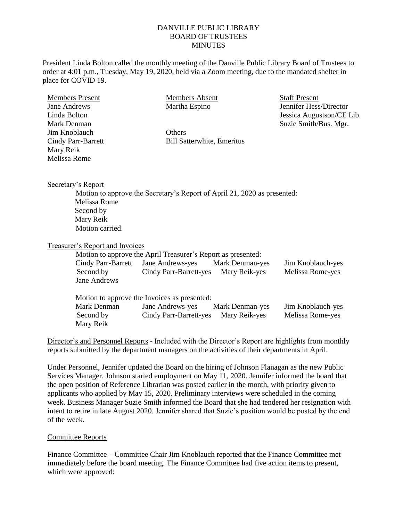## DANVILLE PUBLIC LIBRARY BOARD OF TRUSTEES **MINUTES**

President Linda Bolton called the monthly meeting of the Danville Public Library Board of Trustees to order at 4:01 p.m., Tuesday, May 19, 2020, held via a Zoom meeting, due to the mandated shelter in place for COVID 19.

| <b>Members Present</b>                 | <b>Members Absent</b>                                                    |                        | <b>Staff Present</b>      |  |
|----------------------------------------|--------------------------------------------------------------------------|------------------------|---------------------------|--|
| <b>Jane Andrews</b>                    | Martha Espino                                                            |                        | Jennifer Hess/Director    |  |
| Linda Bolton                           |                                                                          |                        | Jessica Augustson/CE Lib. |  |
| Mark Denman                            |                                                                          |                        | Suzie Smith/Bus. Mgr.     |  |
| Jim Knoblauch                          | Others                                                                   |                        |                           |  |
| Cindy Parr-Barrett                     | <b>Bill Satterwhite, Emeritus</b>                                        |                        |                           |  |
| Mary Reik                              |                                                                          |                        |                           |  |
| Melissa Rome                           |                                                                          |                        |                           |  |
|                                        |                                                                          |                        |                           |  |
| Secretary's Report                     |                                                                          |                        |                           |  |
|                                        | Motion to approve the Secretary's Report of April 21, 2020 as presented: |                        |                           |  |
| Melissa Rome                           |                                                                          |                        |                           |  |
| Second by                              |                                                                          |                        |                           |  |
| Mary Reik                              |                                                                          |                        |                           |  |
| Motion carried.                        |                                                                          |                        |                           |  |
| <b>Treasurer's Report and Invoices</b> |                                                                          |                        |                           |  |
|                                        | Motion to approve the April Treasurer's Report as presented:             |                        |                           |  |
| Cindy Parr-Barrett                     | Jane Andrews-yes                                                         | <b>Mark Denman-yes</b> | Jim Knoblauch-yes         |  |
| Second by                              | Cindy Parr-Barrett-yes                                                   | Mary Reik-yes          | Melissa Rome-yes          |  |
| Jane Andrews                           |                                                                          |                        |                           |  |
|                                        | Motion to approve the Invoices as presented:                             |                        |                           |  |
| Mark Denman                            | Jane Andrews-yes                                                         | Mark Denman-yes        | Jim Knoblauch-yes         |  |

Second by Cindy Parr-Barrett-yes Mary Reik-yes Melissa Rome-yes Mary Reik

Director's and Personnel Reports - Included with the Director's Report are highlights from monthly reports submitted by the department managers on the activities of their departments in April.

Under Personnel, Jennifer updated the Board on the hiring of Johnson Flanagan as the new Public Services Manager. Johnson started employment on May 11, 2020. Jennifer informed the board that the open position of Reference Librarian was posted earlier in the month, with priority given to applicants who applied by May 15, 2020. Preliminary interviews were scheduled in the coming week. Business Manager Suzie Smith informed the Board that she had tendered her resignation with intent to retire in late August 2020. Jennifer shared that Suzie's position would be posted by the end of the week.

## Committee Reports

Finance Committee – Committee Chair Jim Knoblauch reported that the Finance Committee met immediately before the board meeting. The Finance Committee had five action items to present, which were approved: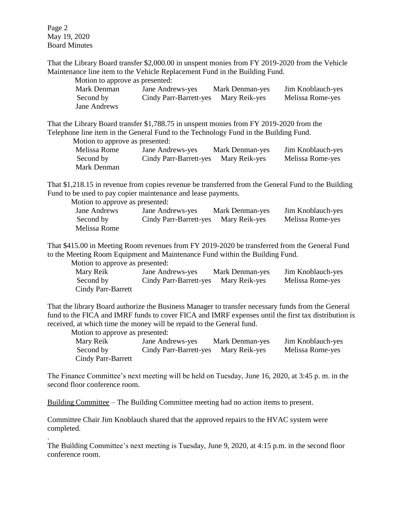Page 2 May 19, 2020 Board Minutes

That the Library Board transfer \$2,000.00 in unspent monies from FY 2019-2020 from the Vehicle Maintenance line item to the Vehicle Replacement Fund in the Building Fund.

Motion to approve as presented: Mark Denman Jane Andrews-yes Mark Denman-yes Jim Knoblauch-yes Second by Cindy Parr-Barrett-yes Mary Reik-yes Melissa Rome-yes Jane Andrews

That the Library Board transfer \$1,788.75 in unspent monies from FY 2019-2020 from the Telephone line item in the General Fund to the Technology Fund in the Building Fund.

Motion to approve as presented:

Melissa Rome Jane Andrews-yes Mark Denman-yes Jim Knoblauch-yes Second by Cindy Parr-Barrett-yes Mary Reik-yes Melissa Rome-yes Mark Denman

That \$1,218.15 in revenue from copies revenue be transferred from the General Fund to the Building Fund to be used to pay copier maintenance and lease payments.

Motion to approve as presented:

Jane Andrews Jane Andrews-yes Mark Denman-yes Jim Knoblauch-yes Second by Cindy Parr-Barrett-yes Mary Reik-yes Melissa Rome-yes Melissa Rome

That \$415.00 in Meeting Room revenues from FY 2019-2020 be transferred from the General Fund to the Meeting Room Equipment and Maintenance Fund within the Building Fund.

Motion to approve as presented:

| Mary Reik          | Jane Andrews-yes       | Mark Denman-yes | Jim Knoblauch-yes |
|--------------------|------------------------|-----------------|-------------------|
| Second by          | Cindy Parr-Barrett-yes | Mary Reik-yes   | Melissa Rome-yes  |
| Cindy Parr-Barrett |                        |                 |                   |

That the library Board authorize the Business Manager to transfer necessary funds from the General fund to the FICA and IMRF funds to cover FICA and IMRF expenses until the first tax distribution is received, at which time the money will be repaid to the General fund.

Motion to approve as presented:

.

| Mary Reik          | Jane Andrews-yes       | Mark Denman-yes | Jim Knoblauch-yes |
|--------------------|------------------------|-----------------|-------------------|
| Second by          | Cindy Parr-Barrett-yes | Mary Reik-yes   | Melissa Rome-yes  |
| Cindy Parr-Barrett |                        |                 |                   |

The Finance Committee's next meeting will be held on Tuesday, June 16, 2020, at 3:45 p. m. in the second floor conference room.

Building Committee – The Building Committee meeting had no action items to present.

Committee Chair Jim Knoblauch shared that the approved repairs to the HVAC system were completed.

The Building Committee's next meeting is Tuesday, June 9, 2020, at 4:15 p.m. in the second floor conference room.